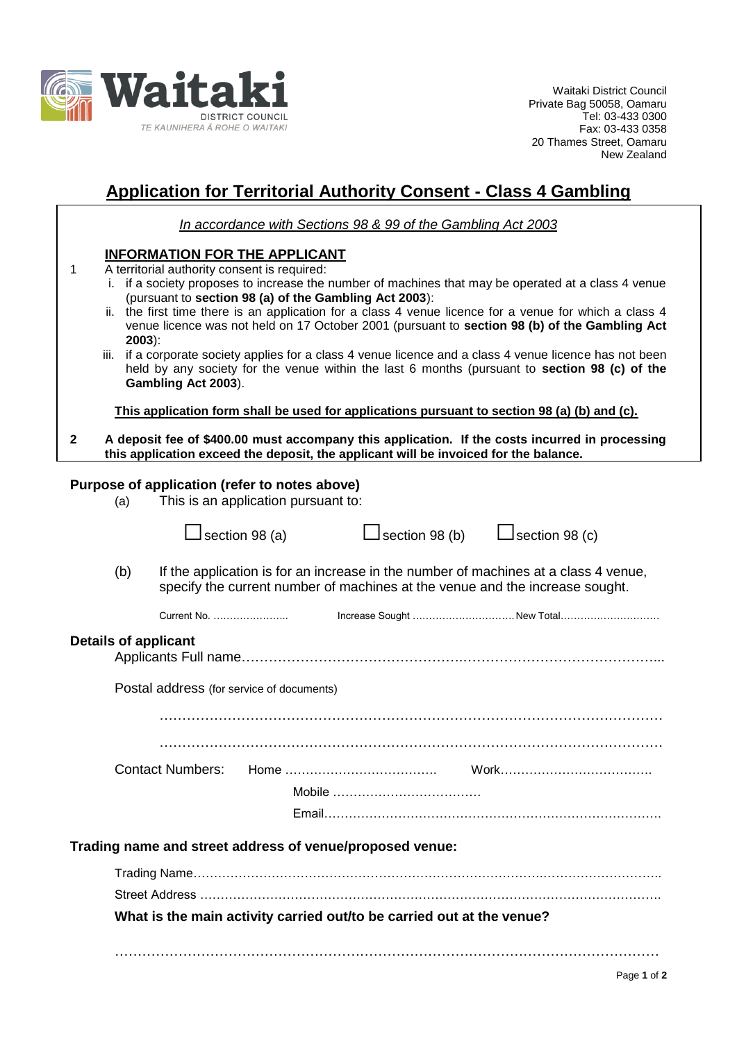

Waitaki District Council Private Bag 50058, Oamaru Tel: 03-433 0300 Fax: 03-433 0358 20 Thames Street, Oamaru New Zealand

## **Application for Territorial Authority Consent - Class 4 Gambling**

*In accordance with Sections 98 & 99 of the Gambling Act 2003*

## **INFORMATION FOR THE APPLICANT**

- 1 A territorial authority consent is required:
	- i. if a society proposes to increase the number of machines that may be operated at a class 4 venue (pursuant to **section 98 (a) of the Gambling Act 2003**):
	- ii. the first time there is an application for a class 4 venue licence for a venue for which a class 4 venue licence was not held on 17 October 2001 (pursuant to **section 98 (b) of the Gambling Act 2003**):
	- iii. if a corporate society applies for a class 4 venue licence and a class 4 venue licence has not been held by any society for the venue within the last 6 months (pursuant to **section 98 (c) of the Gambling Act 2003**).

**This application form shall be used for applications pursuant to section 98 (a) (b) and (c).**

**2 A deposit fee of \$400.00 must accompany this application. If the costs incurred in processing this application exceed the deposit, the applicant will be invoiced for the balance.**

## **Purpose of application (refer to notes above)**

| (a) |  | This is an application pursuant to: |  |
|-----|--|-------------------------------------|--|
|     |  |                                     |  |

|                                                          |                                                                                                                                                                            |                         | section 98 (a) | $\sf J$ section 98 (b)                                                | $L$ section 98 (c) |  |  |
|----------------------------------------------------------|----------------------------------------------------------------------------------------------------------------------------------------------------------------------------|-------------------------|----------------|-----------------------------------------------------------------------|--------------------|--|--|
|                                                          | (b)<br>If the application is for an increase in the number of machines at a class 4 venue,<br>specify the current number of machines at the venue and the increase sought. |                         |                |                                                                       |                    |  |  |
|                                                          |                                                                                                                                                                            |                         |                |                                                                       |                    |  |  |
| <b>Details of applicant</b>                              |                                                                                                                                                                            |                         |                |                                                                       |                    |  |  |
| Postal address (for service of documents)                |                                                                                                                                                                            |                         |                |                                                                       |                    |  |  |
|                                                          |                                                                                                                                                                            |                         |                |                                                                       |                    |  |  |
|                                                          |                                                                                                                                                                            |                         |                |                                                                       |                    |  |  |
|                                                          |                                                                                                                                                                            | <b>Contact Numbers:</b> |                |                                                                       |                    |  |  |
|                                                          |                                                                                                                                                                            |                         |                |                                                                       |                    |  |  |
|                                                          |                                                                                                                                                                            |                         |                |                                                                       |                    |  |  |
| Trading name and street address of venue/proposed venue: |                                                                                                                                                                            |                         |                |                                                                       |                    |  |  |
|                                                          |                                                                                                                                                                            |                         |                |                                                                       |                    |  |  |
|                                                          |                                                                                                                                                                            |                         |                |                                                                       |                    |  |  |
|                                                          |                                                                                                                                                                            |                         |                | What is the main activity carried out/to be carried out at the venue? |                    |  |  |
|                                                          |                                                                                                                                                                            |                         |                |                                                                       |                    |  |  |